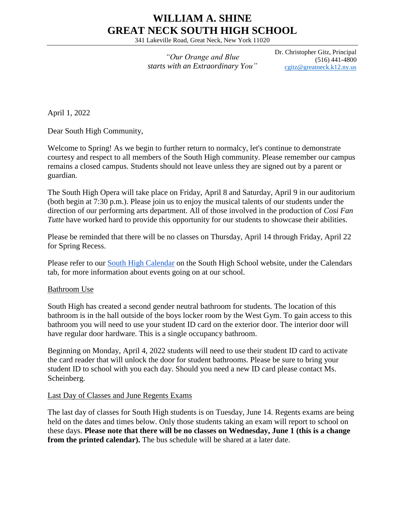## **WILLIAM A. SHINE GREAT NECK SOUTH HIGH SCHOOL**

341 Lakeville Road, Great Neck, New York 11020

*"Our Orange and Blue starts with an Extraordinary You"* Dr. Christopher Gitz, Principal (516) 441-4800 [cgitz@greatneck.k12.ny.us](mailto:cgitz@greatneck.k12.ny.us)

April 1, 2022

Dear South High Community,

Welcome to Spring! As we begin to further return to normalcy, let's continue to demonstrate courtesy and respect to all members of the South High community. Please remember our campus remains a closed campus. Students should not leave unless they are signed out by a parent or guardian.

The South High Opera will take place on Friday, April 8 and Saturday, April 9 in our auditorium (both begin at 7:30 p.m.). Please join us to enjoy the musical talents of our students under the direction of our performing arts department. All of those involved in the production of *Cosi Fan Tutte* have worked hard to provide this opportunity for our students to showcase their abilities.

Please be reminded that there will be no classes on Thursday, April 14 through Friday, April 22 for Spring Recess.

Please refer to our [South High Calendar](https://www.greatneck.k12.ny.us/Page/26#calendar15/20220430/month) on the South High School website, under the Calendars tab, for more information about events going on at our school.

## Bathroom Use

South High has created a second gender neutral bathroom for students. The location of this bathroom is in the hall outside of the boys locker room by the West Gym. To gain access to this bathroom you will need to use your student ID card on the exterior door. The interior door will have regular door hardware. This is a single occupancy bathroom.

Beginning on Monday, April 4, 2022 students will need to use their student ID card to activate the card reader that will unlock the door for student bathrooms. Please be sure to bring your student ID to school with you each day. Should you need a new ID card please contact Ms. Scheinberg.

## Last Day of Classes and June Regents Exams

The last day of classes for South High students is on Tuesday, June 14. Regents exams are being held on the dates and times below. Only those students taking an exam will report to school on these days. **Please note that there will be no classes on Wednesday, June 1 (this is a change from the printed calendar).** The bus schedule will be shared at a later date.